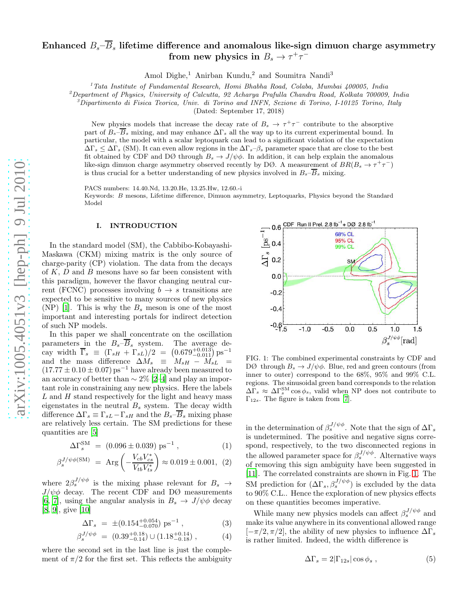# arXiv:1005.4051v3 [hep-ph] 9 Jul 2010 [arXiv:1005.4051v3 \[hep-ph\] 9 Jul 2010](http://arxiv.org/abs/1005.4051v3)

# Enhanced  $B_s\!\!-\!\overline{B}_s$  lifetime difference and anomalous like-sign dimuon charge asymmetry from new physics in  $B_s \to \tau^+ \tau^-$

Amol Dighe, <sup>1</sup> Anirban Kundu, <sup>2</sup> and Soumitra Nandi 3

 $1$ <sup>T</sup>ata Institute of Fundamental Research, Homi Bhabha Road, Colaba, Mumbai 400005, India

<sup>2</sup>Department of Physics, University of Calcutta, 92 Acharya Prafulla Chandra Road, Kolkata 700009, India  ${}^{3}$ Dipartimento di Fisica Teorica, Univ. di Torino and INFN, Sezione di Torino, I-10125 Torino, Italy

(Dated: September 17, 2018)

New physics models that increase the decay rate of  $B_s \to \tau^+\tau^-$  contribute to the absorptive part of  $B_s - B_s$  mixing, and may enhance  $\Delta\Gamma_s$  all the way up to its current experimental bound. In particular, the model with a scalar leptoquark can lead to a significant violation of the expectation  $\Delta\Gamma_s \leq \Delta\Gamma_s$  (SM). It can even allow regions in the  $\Delta\Gamma_s$ – $\beta_s$  parameter space that are close to the best fit obtained by CDF and DØ through  $B_s \to J/\psi \phi$ . In addition, it can help explain the anomalous like-sign dimuon charge asymmetry observed recently by DØ. A measurement of  $BR(B_s \to \tau^+ \tau^-)$ is thus crucial for a better understanding of new physics involved in  $B_s - B_s$  mixing.

PACS numbers: 14.40.Nd, 13.20.He, 13.25.Hw, 12.60.-i Keywords: B mesons, Lifetime difference, Dimuon asymmetry, Leptoquarks, Physics beyond the Standard Model

### I. INTRODUCTION

In the standard model (SM), the Cabbibo-Kobayashi-Maskawa (CKM) mixing matrix is the only source of charge-parity (CP) violation. The data from the decays of  $K$ ,  $D$  and  $B$  mesons have so far been consistent with this paradigm, however the flavor changing neutral current (FCNC) processes involving  $b \rightarrow s$  transitions are expected to be sensitive to many sources of new physics (NP) [\[1\]](#page-4-0). This is why the  $B_s$  meson is one of the most important and interesting portals for indirect detection of such NP models.

In this paper we shall concentrate on the oscillation parameters in the  $B_s - B_s$  system. The average decay width  $\overline{\Gamma}_s \equiv (\Gamma_{sH} + \Gamma_{sL})/2 = (0.679^{+0.013}_{-0.011}) \text{ ps}^{-1}$ and the mass difference  $\Delta M_s \equiv M_{sH} - M_{sL}$  =  $(17.77 \pm 0.10 \pm 0.07)$  ps<sup>-1</sup> have already been measured to an accuracy of better than  $\sim 2\%$  [\[2](#page-4-1)[–4\]](#page-4-2) and play an important role in constraining any new physics. Here the labels  $L$  and  $H$  stand respectively for the light and heavy mass eigenstates in the neutral  $B_s$  system. The decay width difference  $\Delta\Gamma_s \equiv \Gamma_{sL} - \Gamma_{sH}$  and the  $B_s - B_s$  mixing phase are relatively less certain. The SM predictions for these quantities are [\[5](#page-4-3)]

$$
\Delta\Gamma_s^{\rm SM} = (0.096 \pm 0.039) \,\mathrm{ps}^{-1} \,, \tag{1}
$$

$$
\beta_s^{J/\psi\phi(\text{SM})} = \text{Arg}\left(-\frac{V_{cb}V_{cs}^*}{V_{tb}V_{ts}^*}\right) \approx 0.019 \pm 0.001, (2)
$$

where  $2\beta_s^{J/\psi\phi}$  is the mixing phase relevant for  $B_s \to$  $J/\psi\phi$  decay. The recent CDF and DØ measurements [\[6,](#page-4-4) [7\]](#page-4-5), using the angular analysis in  $B_s \to J/\psi \phi$  decay [\[8,](#page-4-6) [9\]](#page-4-7), give [\[10\]](#page-4-8)

$$
\Delta\Gamma_s = \pm (0.154^{+0.054}_{-0.070}) \text{ ps}^{-1} , \qquad (3)
$$

$$
\beta_s^{J/\psi\phi} = (0.39^{+0.18}_{-0.14}) \cup (1.18^{+0.14}_{-0.18}), \tag{4}
$$

where the second set in the last line is just the complement of  $\pi/2$  for the first set. This reflects the ambiguity



<span id="page-0-0"></span>FIG. 1: The combined experimental constraints by CDF and DØ through  $B_s \to J/\psi \phi$ . Blue, red and green contours (from inner to outer) correspond to the 68%, 95% and 99% C.L. regions. The sinusoidal green band corresponds to the relation  $\Delta\bar{\Gamma}_s \approx \Delta\Gamma_s^{\text{SM}}\cos\phi_s$ , valid when NP does not contribute to  $\Gamma_{12s}$ . The figure is taken from [\[7\]](#page-4-5).

in the determination of  $\beta_s^{J/\psi\phi}$ . Note that the sign of  $\Delta\Gamma_s$ is undetermined. The positive and negative signs correspond, respectively, to the two disconnected regions in the allowed parameter space for  $\beta_s^{J/\psi \phi}$ . Alternative ways of removing this sign ambiguity have been suggested in [\[11\]](#page-4-9). The correlated constraints are shown in Fig. [1.](#page-0-0) The SM prediction for  $(\Delta\Gamma_s, \beta_s^{J/\psi\phi})$  is excluded by the data to 90% C.L.. Hence the exploration of new physics effects on these quantities becomes imperative.

While many new physics models can affect  $\beta_s^{J/\psi\phi}$  and make its value anywhere in its conventional allowed range  $[-\pi/2, \pi/2]$ , the ability of new physics to influence  $\Delta\Gamma_s$ is rather limited. Indeed, the width difference is

<span id="page-0-1"></span>
$$
\Delta\Gamma_s = 2|\Gamma_{12s}|\cos\phi_s , \qquad (5)
$$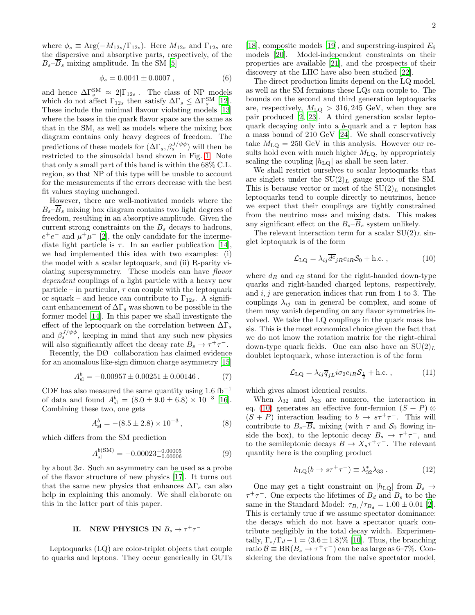where  $\phi_s \equiv \text{Arg}(-M_{12s}/\Gamma_{12s})$ . Here  $M_{12s}$  and  $\Gamma_{12s}$  are the dispersive and absorptive parts, respectively, of the  $B_s-\overline{B}_s$  mixing amplitude. In the SM [\[5\]](#page-4-3)

<span id="page-1-2"></span>
$$
\phi_s = 0.0041 \pm 0.0007 , \qquad (6)
$$

and hence  $\Delta\Gamma_s^{\text{SM}} \approx 2|\Gamma_{12s}|$ . The class of NP models which do not affect  $\Gamma_{12s}$  then satisfy  $\Delta\Gamma_s \leq \Delta\Gamma_s^{\text{SM}}$  [\[12\]](#page-4-10). These include the minimal flavour violating models [\[13](#page-4-11)] where the bases in the quark flavor space are the same as that in the SM, as well as models where the mixing box diagram contains only heavy degrees of freedom. The predictions of these models for  $(\Delta\Gamma_s, \beta_s^{J/\psi\phi})$  will then be restricted to the sinusoidal band shown in Fig. [1.](#page-0-0) Note that only a small part of this band is within the 68% C.L. region, so that NP of this type will be unable to account for the measurements if the errors decrease with the best fit values staying unchanged.

However, there are well-motivated models where the  $B_s$ – $\overline{B}_s$  mixing box diagram contains two light degrees of freedom, resulting in an absorptive amplitude. Given the current strong constraints on the  $B_s$  decays to hadrons,  $e^+e^-$  and  $\mu^+\mu^-$  [\[2](#page-4-1)], the only candidate for the intermediate light particle is  $\tau$ . In an earlier publication [\[14\]](#page-4-12), we had implemented this idea with two examples: (i) the model with a scalar leptoquark, and (ii) R-parity violating supersymmetry. These models can have flavor dependent couplings of a light particle with a heavy new particle – in particular,  $\tau$  can couple with the leptoquark or squark – and hence can contribute to  $\Gamma_{12s}$ . A significant enhancement of  $\Delta\Gamma_s$  was shown to be possible in the former model [\[14](#page-4-12)]. In this paper we shall investigate the effect of the leptoquark on the correlation between  $\Delta\Gamma_s$ and  $\beta_s^{J/\psi\phi}$ , keeping in mind that any such new physics will also significantly affect the decay rate  $B_s \to \tau^+ \tau^-$ .

Recently, the DØ collaboration has claimed evidence for an anomalous like-sign dimuon charge asymmetry [\[15](#page-4-13)]

$$
A_{\rm sl}^b = -0.00957 \pm 0.00251 \pm 0.00146 \,. \tag{7}
$$

CDF has also measured the same quantity using  $1.6 \text{ fb}^{-1}$ of data and found  $A_{\rm sl}^b = (8.0 \pm 9.0 \pm 6.8) \times 10^{-3}$  [\[16\]](#page-4-14). Combining these two, one gets

<span id="page-1-1"></span>
$$
A_{\rm sl}^b = -(8.5 \pm 2.8) \times 10^{-3} , \qquad (8)
$$

which differs from the SM prediction

$$
A_{\rm sl}^{b(\rm SM)} = -0.00023^{+0.00005}_{-0.00006} \tag{9}
$$

by about  $3\sigma$ . Such an asymmetry can be used as a probe of the flavor structure of new physics [\[17](#page-4-15)]. It turns out that the same new physics that enhances  $\Delta\Gamma_s$  can also help in explaining this anomaly. We shall elaborate on this in the latter part of this paper.

# II. NEW PHYSICS IN  $B_s \to \tau^+\tau^-$

Leptoquarks (LQ) are color-triplet objects that couple to quarks and leptons. They occur generically in GUTs

[\[18\]](#page-4-16), composite models [\[19\]](#page-4-17), and superstring-inspired  $E_6$ models [\[20\]](#page-4-18). Model-independent constraints on their properties are available [\[21\]](#page-4-19), and the prospects of their discovery at the LHC have also been studied [\[22\]](#page-4-20).

The direct production limits depend on the LQ model, as well as the SM fermions these LQs can couple to. The bounds on the second and third generation leptoquarks are, respectively,  $M_{\text{LQ}} > 316,245 \text{ GeV}$ , when they are pair produced [\[2,](#page-4-1) [23\]](#page-4-21). A third generation scalar leptoquark decaying only into a b-quark and a  $\tau$  lepton has a mass bound of 210 GeV [\[24\]](#page-4-22). We shall conservatively take  $M_{\text{LQ}} = 250 \text{ GeV}$  in this analysis. However our results hold even with much higher  $M_{\text{LQ}}$ , by appropriately scaling the coupling  $|h_{\text{LQ}}|$  as shall be seen later.

We shall restrict ourselves to scalar leptoquarks that are singlets under the  $SU(2)_L$  gauge group of the SM. This is because vector or most of the  $SU(2)<sub>L</sub>$  nonsinglet leptoquarks tend to couple directly to neutrinos, hence we expect that their couplings are tightly constrained from the neutrino mass and mixing data. This makes any significant effect on the  $B_s-\overline{B}_s$  system unlikely.

The relevant interaction term for a scalar  $SU(2)<sub>L</sub>$  singlet leptoquark is of the form

<span id="page-1-0"></span>
$$
\mathcal{L}_{LQ} = \lambda_{ij} \overline{d^c}_{jR} e_{iR} \mathcal{S}_0 + \text{h.c.} \,, \tag{10}
$$

where  $d_R$  and  $e_R$  stand for the right-handed down-type quarks and right-handed charged leptons, respectively, and  $i, j$  are generation indices that run from 1 to 3. The couplings  $\lambda_{ij}$  can in general be complex, and some of them may vanish depending on any flavor symmetries involved. We take the LQ couplings in the quark mass basis. This is the most economical choice given the fact that we do not know the rotation matrix for the right-chiral down-type quark fields. One can also have an  $SU(2)<sub>L</sub>$ doublet leptoquark, whose interaction is of the form

$$
\mathcal{L}_{LQ} = \lambda_{ij} \overline{q}_{jL} i \sigma_2 e_{iR} \mathcal{S}_{\frac{1}{2}} + \text{h.c.} \,, \tag{11}
$$

which gives almost identical results.

When  $\lambda_{32}$  and  $\lambda_{33}$  are nonzero, the interaction in eq. [\(10\)](#page-1-0) generates an effective four-fermion  $(S + P)$  $(S + P)$  interaction leading to  $b \to s\tau^+\tau^-$ . This will contribute to  $B_s - \overline{B}_s$  mixing (with  $\tau$  and  $S_0$  flowing inside the box), to the leptonic decay  $B_s \rightarrow \tau^+\tau^-$ , and to the semileptonic decays  $B \to X_s \tau^+ \tau^-$ . The relevant quantity here is the coupling product

$$
h_{\text{LQ}}(b \to s\tau^{+}\tau^{-}) \equiv \lambda_{32}^{*}\lambda_{33} . \tag{12}
$$

One may get a tight constraint on  $|h_{\text{LQ}}|$  from  $B_s \to$  $\tau^+\tau^-$ . One expects the lifetimes of  $B_d$  and  $B_s$  to be the same in the Standard Model:  $\tau_{B_s}/\tau_{B_d} = 1.00 \pm 0.01$  [\[2\]](#page-4-1). This is certainly true if we assume spectator dominance: the decays which do not have a spectator quark contribute negligibly in the total decay width. Experimentally,  $\Gamma_s/\Gamma_d - 1 = (3.6 \pm 1.8)\%$  [\[10\]](#page-4-8). Thus, the branching ratio  $\mathcal{B} \equiv \text{BR}(B_s \to \tau^+ \tau^-)$  can be as large as 6–7%. Considering the deviations from the naive spectator model,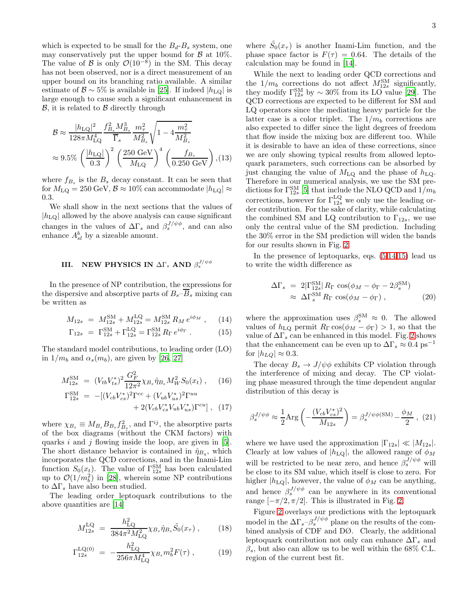which is expected to be small for the  $B_d - B_s$  system, one may conservatively put the upper bound for  $\beta$  at 10%. The value of B is only  $\mathcal{O}(10^{-8})$  in the SM. This decay has not been observed, nor is a direct measurement of an upper bound on its branching ratio available. A similar estimate of  $\mathcal{B} \sim 5\%$  is available in [\[25\]](#page-4-23). If indeed  $|h_{\text{LO}}|$  is large enough to cause such a significant enhancement in  $\beta$ , it is related to  $\beta$  directly through

$$
\mathcal{B} \approx \frac{|h_{\text{LQ}}|^2}{128\pi M_{\text{LQ}}^4} \frac{f_{B_s}^2 M_{B_s}^3}{\overline{\Gamma}_s} \frac{m_\tau^2}{M_{B_s}^2} \sqrt{1 - 4 \frac{m_\tau^2}{M_{B_s}^2}}
$$
  

$$
\approx 9.5\% \left(\frac{|h_{\text{LQ}}|}{0.3}\right)^2 \left(\frac{250 \text{ GeV}}{M_{\text{LQ}}}\right)^4 \left(\frac{f_{B_s}}{0.250 \text{ GeV}}\right), (13)
$$

where  $f_{B_s}$  is the  $B_s$  decay constant. It can be seen that for  $M_{\text{LQ}} = 250 \text{ GeV}, \mathcal{B} \approx 10\%$  can accommodate  $|h_{\text{LQ}}| \approx$ 0.3.

We shall show in the next sections that the values of  $|h_{\text{LO}}|$  allowed by the above analysis can cause significant changes in the values of  $\Delta\Gamma_s$  and  $\beta_s^{J/\psi\phi}$ , and can also enhance  $A_{sl}^b$  by a sizeable amount.

## III. NEW PHYSICS IN  $\Delta\Gamma_s$  AND  $\beta_s^{J/\psi\phi}$

In the presence of NP contribution, the expressions for the dispersive and absorptive parts of  $B_s-\overline{B}_s$  mixing can be written as

<span id="page-2-0"></span>
$$
M_{12s} = M_{12s}^{\text{SM}} + M_{12s}^{\text{LQ}} = M_{12s}^{\text{SM}} R_M e^{i\phi_M} , \quad (14)
$$

$$
\Gamma_{12s} = \Gamma_{12s}^{SM} + \Gamma_{12s}^{LQ} = \Gamma_{12s}^{SM} R_{\Gamma} e^{i\phi_{\Gamma}} . \qquad (15)
$$

The standard model contributions, to leading order (LO) in  $1/m_b$  and  $\alpha_s(m_b)$ , are given by [\[26,](#page-4-24) [27\]](#page-4-25)

$$
M_{12s}^{\rm SM} = (V_{tb} V_{ts}^*)^2 \frac{G_F^2}{12\pi^2} \chi_{B_s} \hat{\eta}_{B_s} M_W^2 S_0(x_t) , \quad (16)
$$

$$
\Gamma_{12s}^{\text{SM}} = -[(V_{cb}V_{cs}^*)^2 \Gamma^{cc} + (V_{ub}V_{us}^*)^2 \Gamma^{uu} + 2(V_{cb}V_{cs}^*V_{ub}V_{us}^*) \Gamma^{cu}], (17)
$$

where  $\chi_{B_s} \equiv M_{B_s} B_{B_s} f_{B_s}^2$ , and  $\Gamma^{ij}$ , the absorptive parts of the box diagrams (without the CKM factors) with quarks i and j flowing inside the loop, are given in  $[5]$ . The short distance behavior is contained in  $\hat{\eta}_{B_q}$ , which incorporates the QCD corrections, and in the Inami-Lim function  $S_0(x_t)$ . The value of  $\Gamma_{12s}^{\text{SM}}$  has been calculated up to  $\mathcal{O}(1/m_b^2)$  in [\[28](#page-4-26)], wherein some NP contributions to  $\Delta\Gamma_s$  have also been studied.

The leading order leptoquark contributions to the above quantities are [\[14\]](#page-4-12)

$$
M_{12s}^{\text{LQ}} = \frac{h_{\text{LQ}}^2}{384\pi^2 M_{\text{LQ}}^2} \chi_{B_s} \hat{\eta}_{B_s} \tilde{S}_0(x_\tau) , \qquad (18)
$$

$$
\Gamma_{12s}^{\text{LQ}(0)} = -\frac{h_{\text{LQ}}^2}{256\pi M_{\text{LQ}}^4} \chi_{B_s} m_b^2 F(\tau) , \qquad (19)
$$

While the next to leading order QCD corrections and the  $1/m_b$  corrections do not affect  $M_{12s}^{\text{SM}}$  significantly, they modify  $\Gamma_{12s}^{\text{SM}}$  by  $\sim 30\%$  from its LO value [\[29\]](#page-4-27). The QCD corrections are expected to be different for SM and LQ operators since the mediating heavy particle for the latter case is a color triplet. The  $1/m_b$  corrections are also expected to differ since the light degrees of freedom that flow inside the mixing box are different too. While it is desirable to have an idea of these corrections, since we are only showing typical results from allowed leptoquark parameters, such corrections can be absorbed by just changing the value of  $M_{\text{LQ}}$  and the phase of  $h_{\text{LQ}}$ . Therefore in our numerical analysis, we use the SM predictions for  $\Gamma_{12s}^{\text{SM}}$  [\[5](#page-4-3)] that include the NLO QCD and  $1/m_b$ corrections, however for  $\Gamma_{12s}^{\text{LQ}}$  we only use the leading order contribution. For the sake of clarity, while calculating the combined SM and LQ contribution to  $\Gamma_{12s}$ , we use only the central value of the SM prediction. Including the 30% error in the SM prediction will widen the bands for our results shown in Fig. [2.](#page-3-0)

In the presence of leptoquarks, eqs. [\(5,](#page-0-1)[14,15\)](#page-2-0) lead us to write the width difference as

$$
\Delta\Gamma_s = 2|\Gamma_{12s}^{\text{SM}}| R_{\Gamma} \cos(\phi_M - \phi_{\Gamma} - 2\beta_s^{\text{SM}})
$$
  

$$
\approx \Delta\Gamma_s^{\text{SM}} R_{\Gamma} \cos(\phi_M - \phi_{\Gamma}), \qquad (20)
$$

where the approximation uses  $\beta_s^{\text{SM}} \approx 0$ . The allowed values of  $h_{\text{LQ}}$  permit  $R_{\Gamma} \cos(\phi_M - \phi_{\Gamma}) > 1$ , so that the value of  $\Delta\Gamma_s$  can be enhanced in this model. Fig. [2](#page-3-0) shows that the enhancement can be even up to  $\Delta\Gamma_s \approx 0.4$  ps<sup>-1</sup> for  $|h_{LQ}| \approx 0.3$ .

The decay  $B_s \to J/\psi \phi$  exhibits CP violation through the interference of mixing and decay. The CP violating phase measured through the time dependent angular distribution of this decay is

<span id="page-2-1"></span>
$$
\beta_s^{J/\psi\phi} \approx \frac{1}{2} \text{Arg}\left(-\frac{(V_{cb}V_{cs}^*)^2}{M_{12s}}\right) = \beta_s^{J/\psi\phi(\text{SM})} - \frac{\phi_M}{2} , \tag{21}
$$

where we have used the approximation  $|\Gamma_{12s}| \ll |M_{12s}|$ . Clearly at low values of  $|h_{\text{LQ}}|$ , the allowed range of  $\phi_M$ will be restricted to be near zero, and hence  $\beta_s^{J/\psi \phi}$  will be close to its SM value, which itself is close to zero. For higher  $|h_{\text{LQ}}|$ , however, the value of  $\phi_M$  can be anything, and hence  $\beta_s^{J/\psi\phi}$  can be anywhere in its conventional range  $[-\pi/2, \pi/2]$ . This is illustrated in Fig. [2.](#page-3-0)

Figure [2](#page-3-0) overlays our predictions with the leptoquark model in the  $\Delta\Gamma_s - \beta_s^{J/\psi\phi}$  plane on the results of the combined analysis of CDF and DØ. Clearly, the additional leptoquark contribution not only can enhance  $\Delta\Gamma_s$  and  $\beta_s$ , but also can allow us to be well within the 68% C.L. region of the current best fit.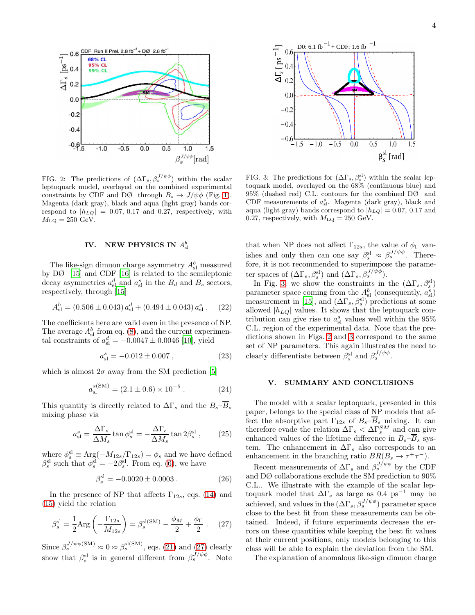

<span id="page-3-0"></span>FIG. 2: The predictions of  $(\Delta\Gamma_s, \beta_s^{J/\psi\phi})$  within the scalar leptoquark model, overlayed on the combined experimental constraints by CDF and DØ through  $B_s \to J/\psi \phi$  (Fig. [1\)](#page-0-0). Magenta (dark gray), black and aqua (light gray) bands correspond to  $|h_{LQ}| = 0.07, 0.17$  and 0.27, respectively, with  $M_{\text{LQ}} = 250 \text{ GeV}.$ 

### IV. NEW PHYSICS IN  $A^b_{\rm sl}$

The like-sign dimuon charge asymmetry  $A_{\rm sl}^b$  measured by DØ [\[15\]](#page-4-13) and CDF [\[16](#page-4-14)] is related to the semileptonic decay asymmetries  $a_{\rm sl}^d$  and  $a_{\rm sl}^s$  in the  $B_d$  and  $B_s$  sectors, respectively, through [\[15\]](#page-4-13)

$$
A_{\rm sl}^b = (0.506 \pm 0.043) a_{\rm sl}^d + (0.494 \pm 0.043) a_{\rm sl}^s. \tag{22}
$$

The coefficients here are valid even in the presence of NP. The average  $A_{\rm sl}^b$  from eq. [\(8\)](#page-1-1), and the current experimental constraints of  $a_{\rm sl}^d = -0.0047 \pm 0.0046$  [\[10\]](#page-4-8), yield

$$
a_{\rm sl}^s = -0.012 \pm 0.007 , \qquad (23)
$$

which is almost  $2\sigma$  away from the SM prediction [\[5\]](#page-4-3)

$$
a_{\rm sl}^{s({\rm SM})} = (2.1 \pm 0.6) \times 10^{-5} . \tag{24}
$$

This quantity is directly related to  $\Delta\Gamma_s$  and the  $B_s-\overline{B}_s$ mixing phase via

$$
a_{\rm sl}^s = \frac{\Delta \Gamma_s}{\Delta M_s} \tan \phi_s^{\rm sl} = -\frac{\Delta \Gamma_s}{\Delta M_s} \tan 2\beta_s^{\rm sl} \,, \tag{25}
$$

where  $\phi_s^{\text{sl}} \equiv \text{Arg}(-M_{12s}/\Gamma_{12s}) = \phi_s$  and we have defined  $\beta_s^{\text{sl}}$  such that  $\phi_s^{\text{sl}} = -2\beta_s^{\text{sl}}$ . From eq. [\(6\)](#page-1-2), we have

$$
\beta_s^{\rm sl} = -0.0020 \pm 0.0003 \,. \tag{26}
$$

In the presence of NP that affects  $\Gamma_{12s}$ , eqs. [\(14\)](#page-2-0) and [\(15\)](#page-2-0) yield the relation

<span id="page-3-1"></span>
$$
\beta_s^{\rm sl} = \frac{1}{2} \text{Arg} \left( -\frac{\Gamma_{12s}}{M_{12s}} \right) = \beta_s^{\rm sl(SM)} - \frac{\phi_M}{2} + \frac{\phi_\Gamma}{2} \ . \tag{27}
$$

Since  $\beta_s^{J/\psi\phi(\text{SM})} \approx 0 \approx \beta_s^{\text{sl(SM)}}$ , eqs. [\(21\)](#page-2-1) and [\(27\)](#page-3-1) clearly show that  $\beta_s^{\text{sl}}$  is in general different from  $\beta_s^{J/\psi\phi}$ . Note



<span id="page-3-2"></span>FIG. 3: The predictions for  $(\Delta\Gamma_s, \beta_s^{\text{sl}})$  within the scalar leptoquark model, overlayed on the 68% (continuous blue) and 95% (dashed red) C.L. contours for the combined DØ and CDF measurements of  $a_{\rm sl}^s$ . Magenta (dark gray), black and aqua (light gray) bands correspond to  $|h_{LQ}| = 0.07, 0.17$  and 0.27, respectively, with  $M_{\text{LQ}} = 250 \text{ GeV}$ .

that when NP does not affect  $\Gamma_{12s}$ , the value of  $\phi_{\Gamma}$  vanishes and only then can one say  $\beta_s^{\text{sl}} \approx \beta_s^{J/\psi \phi}$ . Therefore, it is not recommended to superimpose the parameter spaces of  $(\Delta\Gamma_s, \beta_s^{\text{sl}})$  and  $(\Delta\Gamma_s, \beta_s^{J/\psi\phi})$ .

In Fig. [3,](#page-3-2) we show the constraints in the  $(\Delta\Gamma_s, \beta_s^{\rm sl})$ parameter space coming from the  $A_{\rm sl}^b$  (consequently,  $a_{\rm sl}^s$ ) measurement in [\[15](#page-4-13)], and  $(\Delta\Gamma_s, \beta_s^{\rm sl})$  predictions at some allowed  $|h_{LQ}|$  values. It shows that the leptoquark contribution can give rise to  $a_{\rm{sl}}^s$  values well within the  $95\%$ C.L. region of the experimental data. Note that the predictions shown in Figs. [2](#page-3-0) and [3](#page-3-2) correspond to the same set of NP parameters. This again illustrates the need to clearly differentiate between  $\beta_s^{\text{sl}}$  and  $\beta_s^{J/\psi\phi}$ .

### V. SUMMARY AND CONCLUSIONS

The model with a scalar leptoquark, presented in this paper, belongs to the special class of NP models that affect the absorptive part  $\Gamma_{12s}$  of  $B_s-\overline{B}_s$  mixing. It can therefore evade the relation  $\Delta\Gamma_s < \Delta\Gamma_s^{SM}$  and can give enhanced values of the lifetime difference in  $B_s-\overline{B}_s$  system. The enhancement in  $\Delta\Gamma_s$  also corresponds to an enhancement in the branching ratio  $BR(B_s \to \tau^+ \tau^-)$ .

Recent measurements of  $\Delta\Gamma_s$  and  $\beta_s^{J/\psi\phi}$  by the CDF and DØ collaborations exclude the SM prediction to  $90\%$ C.L.. We illustrate with the example of the scalar leptoquark model that  $\Delta\Gamma_s$  as large as 0.4 ps<sup>-1</sup> may be achieved, and values in the  $(\Delta\Gamma_s, \beta_s^{J/\psi\phi})$  parameter space close to the best fit from these measurements can be obtained. Indeed, if future experiments decrease the errors on these quantities while keeping the best fit values at their current positions, only models belonging to this class will be able to explain the deviation from the SM.

The explanation of anomalous like-sign dimuon charge